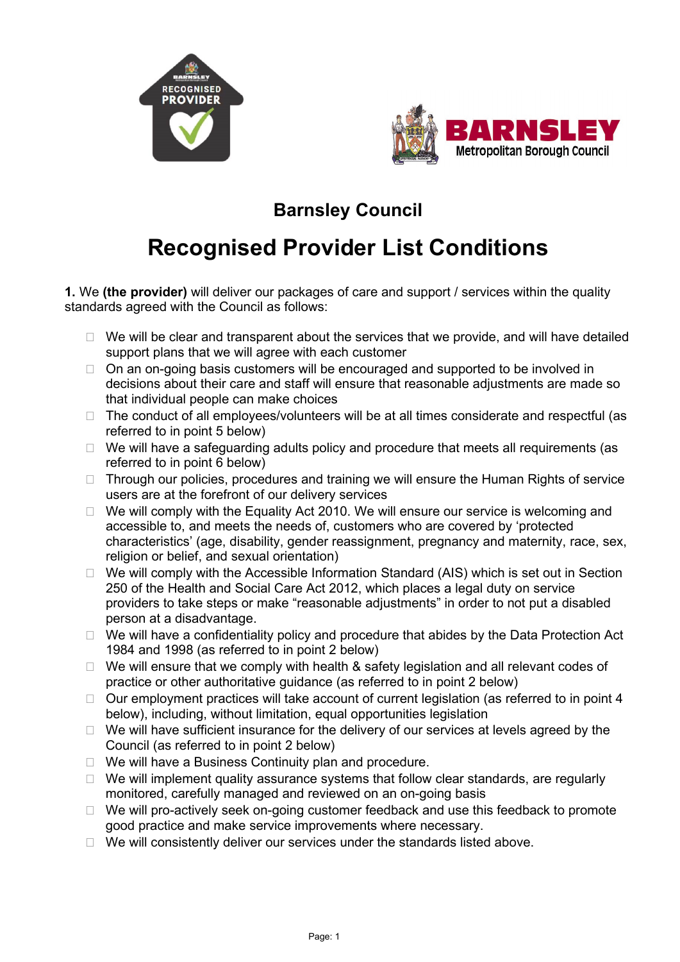



## **Barnsley Council**

## **Recognised Provider List Conditions**

**1.** We **(the provider)** will deliver our packages of care and support / services within the quality standards agreed with the Council as follows:

- $\Box$  We will be clear and transparent about the services that we provide, and will have detailed support plans that we will agree with each customer
- $\Box$  On an on-going basis customers will be encouraged and supported to be involved in decisions about their care and staff will ensure that reasonable adjustments are made so that individual people can make choices
- $\Box$  The conduct of all employees/volunteers will be at all times considerate and respectful (as referred to in point 5 below)
- $\Box$  We will have a safeguarding adults policy and procedure that meets all requirements (as referred to in point 6 below)
- $\Box$  Through our policies, procedures and training we will ensure the Human Rights of service users are at the forefront of our delivery services
- $\Box$  We will comply with the Equality Act 2010. We will ensure our service is welcoming and accessible to, and meets the needs of, customers who are covered by 'protected characteristics' (age, disability, gender reassignment, pregnancy and maternity, race, sex, religion or belief, and sexual orientation)
- $\Box$  We will comply with the Accessible Information Standard (AIS) which is set out in Section 250 of the Health and Social Care Act 2012, which places a legal duty on service providers to take steps or make "reasonable adjustments" in order to not put a disabled person at a disadvantage.
- $\Box$  We will have a confidentiality policy and procedure that abides by the Data Protection Act 1984 and 1998 (as referred to in point 2 below)
- $\Box$  We will ensure that we comply with health & safety legislation and all relevant codes of practice or other authoritative guidance (as referred to in point 2 below)
- $\Box$  Our employment practices will take account of current legislation (as referred to in point 4 below), including, without limitation, equal opportunities legislation
- $\Box$  We will have sufficient insurance for the delivery of our services at levels agreed by the Council (as referred to in point 2 below)
- $\Box$  We will have a Business Continuity plan and procedure.
- $\Box$  We will implement quality assurance systems that follow clear standards, are regularly monitored, carefully managed and reviewed on an on-going basis
- $\Box$  We will pro-actively seek on-going customer feedback and use this feedback to promote good practice and make service improvements where necessary.
- $\Box$  We will consistently deliver our services under the standards listed above.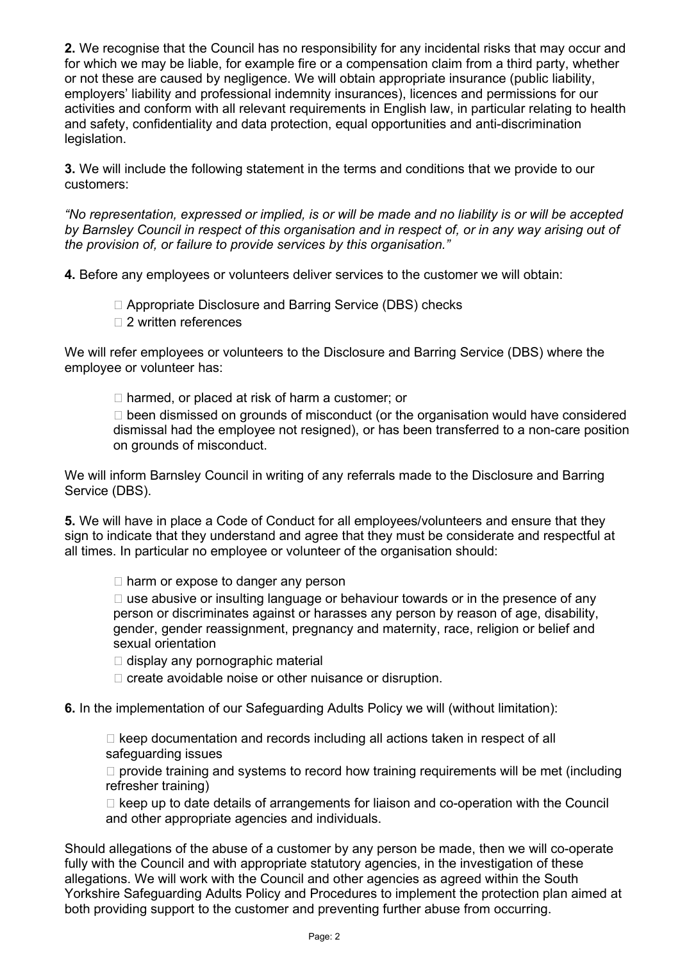**2.** We recognise that the Council has no responsibility for any incidental risks that may occur and for which we may be liable, for example fire or a compensation claim from a third party, whether or not these are caused by negligence. We will obtain appropriate insurance (public liability, employers' liability and professional indemnity insurances), licences and permissions for our activities and conform with all relevant requirements in English law, in particular relating to health and safety, confidentiality and data protection, equal opportunities and anti-discrimination legislation.

**3.** We will include the following statement in the terms and conditions that we provide to our customers:

*"No representation, expressed or implied, is or will be made and no liability is or will be accepted by Barnsley Council in respect of this organisation and in respect of, or in any way arising out of the provision of, or failure to provide services by this organisation."* 

**4.** Before any employees or volunteers deliver services to the customer we will obtain:

- □ Appropriate Disclosure and Barring Service (DBS) checks
- □ 2 written references

We will refer employees or volunteers to the Disclosure and Barring Service (DBS) where the employee or volunteer has:

 $\Box$  harmed, or placed at risk of harm a customer; or

 $\Box$  been dismissed on grounds of misconduct (or the organisation would have considered dismissal had the employee not resigned), or has been transferred to a non-care position on grounds of misconduct.

We will inform Barnsley Council in writing of any referrals made to the Disclosure and Barring Service (DBS).

**5.** We will have in place a Code of Conduct for all employees/volunteers and ensure that they sign to indicate that they understand and agree that they must be considerate and respectful at all times. In particular no employee or volunteer of the organisation should:

 $\Box$  harm or expose to danger any person

 $\Box$  use abusive or insulting language or behaviour towards or in the presence of any person or discriminates against or harasses any person by reason of age, disability, gender, gender reassignment, pregnancy and maternity, race, religion or belief and sexual orientation

 $\Box$  display any pornographic material

 $\Box$  create avoidable noise or other nuisance or disruption.

**6.** In the implementation of our Safeguarding Adults Policy we will (without limitation):

 $\Box$  keep documentation and records including all actions taken in respect of all safeguarding issues

 $\Box$  provide training and systems to record how training requirements will be met (including refresher training)

 $\Box$  keep up to date details of arrangements for liaison and co-operation with the Council and other appropriate agencies and individuals.

Should allegations of the abuse of a customer by any person be made, then we will co-operate fully with the Council and with appropriate statutory agencies, in the investigation of these allegations. We will work with the Council and other agencies as agreed within the South Yorkshire Safeguarding Adults Policy and Procedures to implement the protection plan aimed at both providing support to the customer and preventing further abuse from occurring.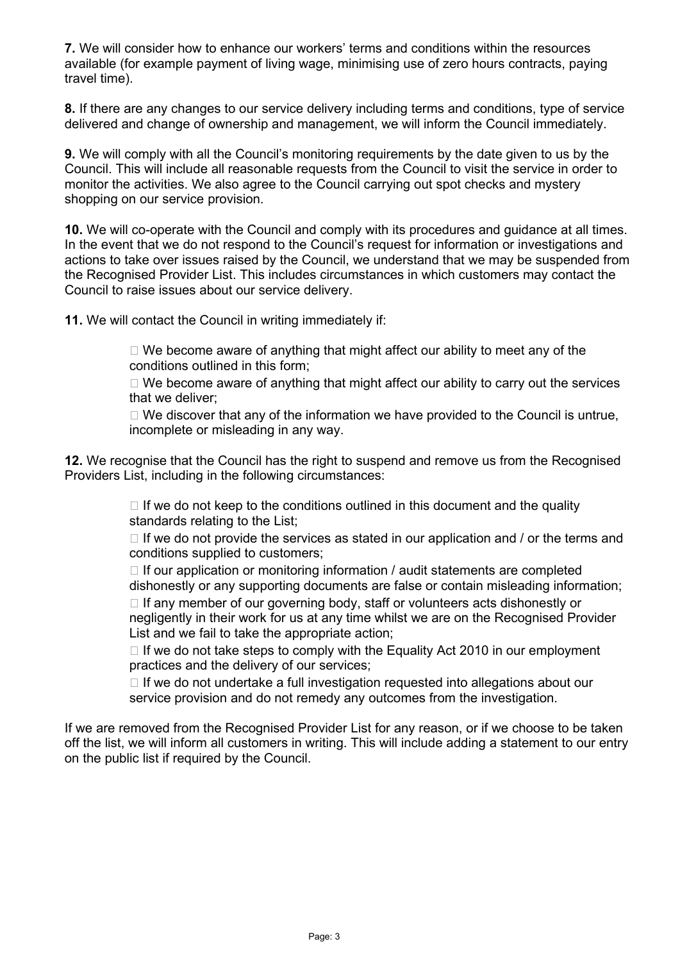**7.** We will consider how to enhance our workers' terms and conditions within the resources available (for example payment of living wage, minimising use of zero hours contracts, paying travel time).

**8.** If there are any changes to our service delivery including terms and conditions, type of service delivered and change of ownership and management, we will inform the Council immediately.

**9.** We will comply with all the Council's monitoring requirements by the date given to us by the Council. This will include all reasonable requests from the Council to visit the service in order to monitor the activities. We also agree to the Council carrying out spot checks and mystery shopping on our service provision.

**10.** We will co-operate with the Council and comply with its procedures and guidance at all times. In the event that we do not respond to the Council's request for information or investigations and actions to take over issues raised by the Council, we understand that we may be suspended from the Recognised Provider List. This includes circumstances in which customers may contact the Council to raise issues about our service delivery.

**11.** We will contact the Council in writing immediately if:

 $\Box$  We become aware of anything that might affect our ability to meet any of the conditions outlined in this form;

 $\Box$  We become aware of anything that might affect our ability to carry out the services that we deliver;

 $\Box$  We discover that any of the information we have provided to the Council is untrue, incomplete or misleading in any way.

**12.** We recognise that the Council has the right to suspend and remove us from the Recognised Providers List, including in the following circumstances:

> $\Box$  If we do not keep to the conditions outlined in this document and the quality standards relating to the List;

 $\Box$  If we do not provide the services as stated in our application and / or the terms and conditions supplied to customers;

 $\Box$  If our application or monitoring information / audit statements are completed dishonestly or any supporting documents are false or contain misleading information;  $\Box$  If any member of our governing body, staff or volunteers acts dishonestly or negligently in their work for us at any time whilst we are on the Recognised Provider List and we fail to take the appropriate action;

 $\Box$  If we do not take steps to comply with the Equality Act 2010 in our employment practices and the delivery of our services;

 $\Box$  If we do not undertake a full investigation requested into allegations about our service provision and do not remedy any outcomes from the investigation.

If we are removed from the Recognised Provider List for any reason, or if we choose to be taken off the list, we will inform all customers in writing. This will include adding a statement to our entry on the public list if required by the Council.